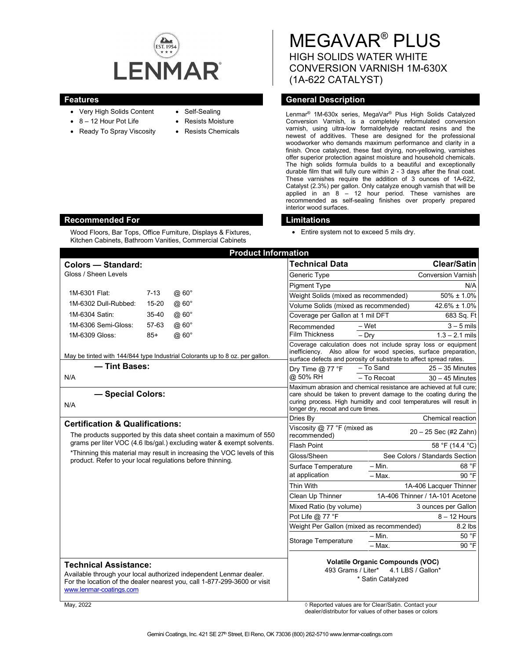

Wood Floors, Bar Tops, Office Furniture, Displays & Fixtures, Kitchen Cabinets, Bathroom Vanities, Commercial Cabinets

- Very High Solids Content
- 8 12 Hour Pot Life
- Ready To Spray Viscosity
- Self-Sealing
- Resists Moisture
- Resists Chemicals

MEGAVAR® PLUS HIGH SOLIDS WATER WHITE CONVERSION VARNISH 1M-630X (1A-622 CATALYST)

## **Features General Description**

Lenmar® 1M-630x series, MegaVar® Plus High Solids Catalyzed Conversion Varnish, is a completely reformulated conversion varnish, using ultra-low formaldehyde reactant resins and the newest of additives. These are designed for the professional woodworker who demands maximum performance and clarity in a finish. Once catalyzed, these fast drying, non-yellowing, varnishes offer superior protection against moisture and household chemicals. The high solids formula builds to a beautiful and exceptionally durable film that will fully cure within 2 - 3 days after the final coat. These varnishes require the addition of 3 ounces of 1A-622, Catalyst (2.3%) per gallon. Only catalyze enough varnish that will be applied in an 8 – 12 hour period. These varnishes are recommended as self-sealing finishes over properly prepared interior wood surfaces.

## **Recommended For Limitations**

• Entire system not to exceed 5 mils dry.

| <b>Product Information</b>                                                                                                                                                                                                                                                          |           |                     |                                                                                                                                                                                                                                                     |                                                      |                                 |
|-------------------------------------------------------------------------------------------------------------------------------------------------------------------------------------------------------------------------------------------------------------------------------------|-----------|---------------------|-----------------------------------------------------------------------------------------------------------------------------------------------------------------------------------------------------------------------------------------------------|------------------------------------------------------|---------------------------------|
| <b>Colors - Standard:</b>                                                                                                                                                                                                                                                           |           |                     | <b>Technical Data</b>                                                                                                                                                                                                                               |                                                      | <b>Clear/Satin</b>              |
| Gloss / Sheen Levels                                                                                                                                                                                                                                                                |           |                     | Generic Type                                                                                                                                                                                                                                        |                                                      | <b>Conversion Varnish</b>       |
|                                                                                                                                                                                                                                                                                     |           |                     | <b>Pigment Type</b>                                                                                                                                                                                                                                 |                                                      | N/A                             |
| 1M-6301 Flat:                                                                                                                                                                                                                                                                       | $7 - 13$  | @ 60°               | Weight Solids (mixed as recommended)                                                                                                                                                                                                                |                                                      | $50\% \pm 1.0\%$                |
| 1M-6302 Dull-Rubbed:                                                                                                                                                                                                                                                                | 15-20     | @ 60°               |                                                                                                                                                                                                                                                     | Volume Solids (mixed as recommended)<br>42.6% ± 1.0% |                                 |
| 1M-6304 Satin:                                                                                                                                                                                                                                                                      | $35 - 40$ | @60°                |                                                                                                                                                                                                                                                     | Coverage per Gallon at 1 mil DFT                     |                                 |
| 1M-6306 Semi-Gloss:                                                                                                                                                                                                                                                                 | 57-63     | @ 60°               | Recommended                                                                                                                                                                                                                                         | $-Wet$                                               | $3 - 5$ mils                    |
| 1M-6309 Gloss:                                                                                                                                                                                                                                                                      | $85+$     | $@.60^\circ$        | <b>Film Thickness</b>                                                                                                                                                                                                                               | $-$ Dry                                              | $1.3 - 2.1$ mils                |
| May be tinted with 144/844 type Industrial Colorants up to 8 oz. per gallon.                                                                                                                                                                                                        |           |                     | Coverage calculation does not include spray loss or equipment<br>inefficiency. Also allow for wood species, surface preparation,<br>surface defects and porosity of substrate to affect spread rates.                                               |                                                      |                                 |
| - Tint Bases:                                                                                                                                                                                                                                                                       |           | Dry Time $@$ 77 °F  | - To Sand                                                                                                                                                                                                                                           | $25 - 35$ Minutes                                    |                                 |
| N/A                                                                                                                                                                                                                                                                                 |           |                     | @ 50% RH                                                                                                                                                                                                                                            | - To Recoat                                          | $30 - 45$ Minutes               |
| - Special Colors:<br>N/A                                                                                                                                                                                                                                                            |           |                     | Maximum abrasion and chemical resistance are achieved at full cure;<br>care should be taken to prevent damage to the coating during the<br>curing process. High humidity and cool temperatures will result in<br>longer dry, recoat and cure times. |                                                      |                                 |
| <b>Certification &amp; Qualifications:</b>                                                                                                                                                                                                                                          |           |                     | Dries By                                                                                                                                                                                                                                            |                                                      | <b>Chemical reaction</b>        |
| The products supported by this data sheet contain a maximum of 550<br>grams per liter VOC (4.6 lbs/gal.) excluding water & exempt solvents.<br>*Thinning this material may result in increasing the VOC levels of this<br>product. Refer to your local regulations before thinning. |           |                     | Viscosity @ 77 °F (mixed as<br>recommended)                                                                                                                                                                                                         |                                                      | $20 - 25$ Sec (#2 Zahn)         |
|                                                                                                                                                                                                                                                                                     |           |                     | <b>Flash Point</b>                                                                                                                                                                                                                                  |                                                      | 58 °F (14.4 °C)                 |
|                                                                                                                                                                                                                                                                                     |           |                     | Gloss/Sheen                                                                                                                                                                                                                                         |                                                      | See Colors / Standards Section  |
|                                                                                                                                                                                                                                                                                     |           |                     | Surface Temperature                                                                                                                                                                                                                                 | $-$ Min.                                             | 68 °F                           |
|                                                                                                                                                                                                                                                                                     |           |                     | at application                                                                                                                                                                                                                                      | - Max.                                               | 90 °F                           |
|                                                                                                                                                                                                                                                                                     |           |                     | Thin With                                                                                                                                                                                                                                           |                                                      | 1A-406 Lacquer Thinner          |
|                                                                                                                                                                                                                                                                                     |           |                     | Clean Up Thinner                                                                                                                                                                                                                                    |                                                      | 1A-406 Thinner / 1A-101 Acetone |
|                                                                                                                                                                                                                                                                                     |           |                     | Mixed Ratio (by volume)                                                                                                                                                                                                                             |                                                      | 3 ounces per Gallon             |
|                                                                                                                                                                                                                                                                                     |           |                     | Pot Life @ 77 °F                                                                                                                                                                                                                                    |                                                      | $8 - 12$ Hours                  |
|                                                                                                                                                                                                                                                                                     |           |                     |                                                                                                                                                                                                                                                     | Weight Per Gallon (mixed as recommended)<br>8.2 lbs  |                                 |
|                                                                                                                                                                                                                                                                                     |           | Storage Temperature | $- Min.$<br>- Max.                                                                                                                                                                                                                                  | 50 °F<br>90 °F                                       |                                 |
|                                                                                                                                                                                                                                                                                     |           |                     |                                                                                                                                                                                                                                                     |                                                      |                                 |
| <b>Technical Assistance:</b><br>Available through your local authorized independent Lenmar dealer.<br>For the location of the dealer nearest you, call 1-877-299-3600 or visit<br>www.lenmar-coatings.com                                                                           |           |                     | <b>Volatile Organic Compounds (VOC)</b><br>493 Grams / Liter*<br>4.1 LBS / Gallon*<br>* Satin Catalyzed                                                                                                                                             |                                                      |                                 |
| May. 2022                                                                                                                                                                                                                                                                           |           |                     |                                                                                                                                                                                                                                                     | ◊ Reported values are for Clear/Satin, Contact vour  |                                 |

dealer/distributor for values of other bases or colors